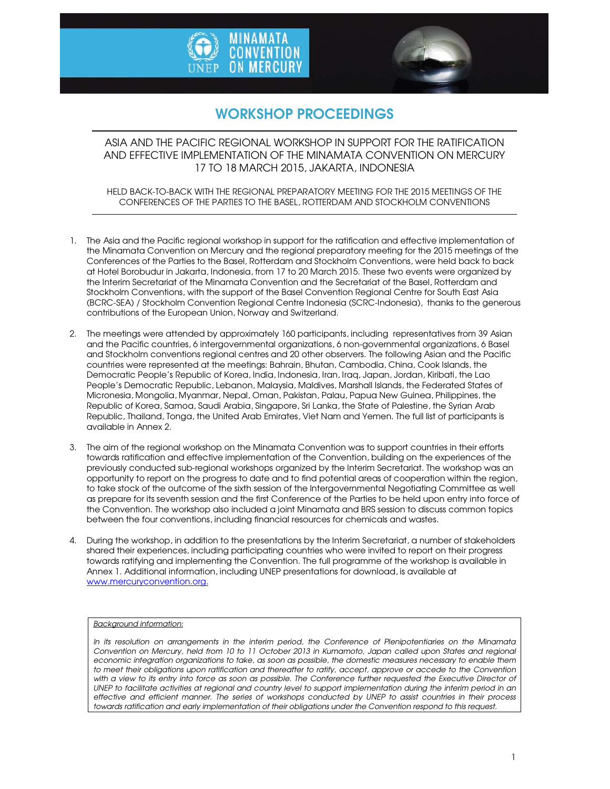



# WORKSHOP PROCEEDINGS

ASIA AND THE PACIFIC REGIONAL WORKSHOP IN SUPPORT FOR THE RATIFICATION AND EFFECTIVE IMPLEMENTATION OF THE MINAMATA CONVENTION ON MERCURY 17 TO 18 MARCH 2015, JAKARTA, INDONESIA

HELD BACK-TO-BACK WITH THE REGIONAL PREPARATORY MEETING FOR THE 2015 MEETINGS OF THE CONFERENCES OF THE PARTIES TO THE BASEL, ROTTERDAM AND STOCKHOLM CONVENTIONS

- 1. The Asia and the Pacific regional workshop in support for the ratification and effective implementation of the Minamata Convention on Mercury and the regional preparatory meeting for the 2015 meetings of the Conferences of the Parties to the Basel, Rotterdam and Stockholm Conventions, were held back to back at Hotel Borobudur in Jakarta, Indonesia, from 17 to 20 March 2015. These two events were organized by the Interim Secretariat of the Minamata Convention and the Secretariat of the Basel, Rotterdam and Stockholm Conventions, with the support of the Basel Convention Regional Centre for South East Asia (BCRC-SEA) / Stockholm Convention Regional Centre Indonesia (SCRC-Indonesia), thanks to the generous contributions of the European Union, Norway and Switzerland.
- 2. The meetings were attended by approximately 160 participants, including representatives from 39 Asian and the Pacific countries, 6 intergovernmental organizations, 6 non-governmental organizations, 6 Basel and Stockholm conventions regional centres and 20 other observers. The following Asian and the Pacific countries were represented at the meetings: Bahrain, Bhutan, Cambodia, China, Cook Islands, the Democratic People's Republic of Korea, India, Indonesia, Iran, Iraq, Japan, Jordan, Kiribati, the Lao People's Democratic Republic, Lebanon, Malaysia, Maldives, Marshall Islands, the Federated States of Micronesia, Mongolia, Myanmar, Nepal, Oman, Pakistan, Palau, Papua New Guinea, Philippines, the Republic of Korea, Samoa, Saudi Arabia, Singapore, Sri Lanka, the State of Palestine, the Syrian Arab Republic, Thailand, Tonga, the United Arab Emirates, Viet Nam and Yemen. The full list of participants is available in Annex 2.
- 3. The aim of the regional workshop on the Minamata Convention was to support countries in their efforts towards ratification and effective implementation of the Convention, building on the experiences of the previously conducted sub-regional workshops organized by the Interim Secretariat. The workshop was an opportunity to report on the progress to date and to find potential areas of cooperation within the region, to take stock of the outcome of the sixth session of the Intergovernmental Negotiating Committee as well as prepare for its seventh session and the first Conference of the Parties to be held upon entry into force of the Convention. The workshop also included a joint Minamata and BRS session to discuss common topics between the four conventions, including financial resources for chemicals and wastes.
- 4. During the workshop, in addition to the presentations by the Interim Secretariat, a number of stakeholders shared their experiences, including participating countries who were invited to report on their progress towards ratifying and implementing the Convention. The full programme of the workshop is available in Annex 1. Additional information, including UNEP presentations for download, is available at www.mercuryconvention.org.

# *Background information:*

*In its resolution on arrangements in the interim period, the Conference of Plenipotentiaries on the Minamata Convention on Mercury, held from 10 to 11 October 2013 in Kumamoto, Japan called upon States and regional economic integration organizations to take, as soon as possible, the domestic measures necessary to enable them*  to meet their obligations upon ratification and thereafter to ratify, accept, approve or accede to the Convention with a view to its entry into force as soon as possible. The Conference further requested the Executive Director of UNEP to facilitate activities at regional and country level to support implementation during the interim period in an *effective and efficient manner. The series of workshops conducted by UNEP to assist countries in their process*  towards ratification and early implementation of their obligations under the Convention respond to this request.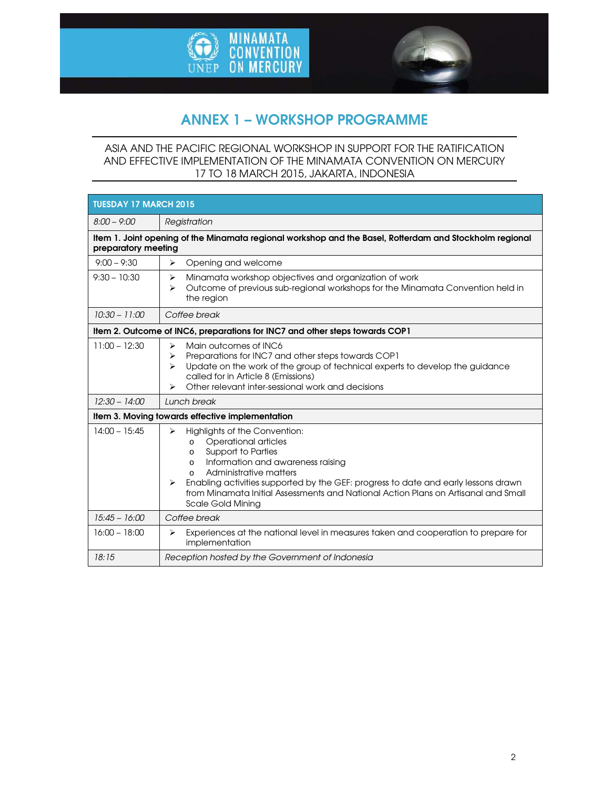



# ANNEX 1 – WORKSHOP PROGRAMME

# ASIA AND THE PACIFIC REGIONAL WORKSHOP IN SUPPORT FOR THE RATIFICATION AND EFFECTIVE IMPLEMENTATION OF THE MINAMATA CONVENTION ON MERCURY 17 TO 18 MARCH 2015, JAKARTA, INDONESIA

| <b>TUESDAY 17 MARCH 2015</b>                                                                                                   |                                                                                                                                                                                                                                                                                                                                                                                                                                 |  |
|--------------------------------------------------------------------------------------------------------------------------------|---------------------------------------------------------------------------------------------------------------------------------------------------------------------------------------------------------------------------------------------------------------------------------------------------------------------------------------------------------------------------------------------------------------------------------|--|
| $8:00 - 9:00$                                                                                                                  | Registration                                                                                                                                                                                                                                                                                                                                                                                                                    |  |
| Item 1. Joint opening of the Minamata regional workshop and the Basel, Rotterdam and Stockholm regional<br>preparatory meeting |                                                                                                                                                                                                                                                                                                                                                                                                                                 |  |
| $9:00 - 9:30$                                                                                                                  | Opening and welcome<br>⋗                                                                                                                                                                                                                                                                                                                                                                                                        |  |
| $9:30 - 10:30$                                                                                                                 | Minamata workshop objectives and organization of work<br>➤<br>Outcome of previous sub-regional workshops for the Minamata Convention held in<br>⋗<br>the region                                                                                                                                                                                                                                                                 |  |
| $10:30 - 11:00$                                                                                                                | Coffee break                                                                                                                                                                                                                                                                                                                                                                                                                    |  |
| Item 2. Outcome of INC6, preparations for INC7 and other steps towards COP1                                                    |                                                                                                                                                                                                                                                                                                                                                                                                                                 |  |
| $11:00 - 12:30$                                                                                                                | Main outcomes of INC6<br>⋗<br>Preparations for INC7 and other steps towards COP1<br>⋗<br>Update on the work of the group of technical experts to develop the guidance<br>↘<br>called for in Article 8 (Emissions)<br>Other relevant inter-sessional work and decisions<br>⋗                                                                                                                                                     |  |
| $12:30 - 14:00$                                                                                                                | Lunch break                                                                                                                                                                                                                                                                                                                                                                                                                     |  |
| Item 3. Moving towards effective implementation                                                                                |                                                                                                                                                                                                                                                                                                                                                                                                                                 |  |
| $14:00 - 15:45$                                                                                                                | Highlights of the Convention:<br>$\blacktriangleright$<br>Operational articles<br>$\circ$<br><b>Support to Parties</b><br>$\circ$<br>Information and awareness raising<br>$\circ$<br>Administrative matters<br>$\Omega$<br>Enabling activities supported by the GEF: progress to date and early lessons drawn<br>from Minamata Initial Assessments and National Action Plans on Artisanal and Small<br><b>Scale Gold Mining</b> |  |
| $15:45 - 16:00$                                                                                                                | Coffee break                                                                                                                                                                                                                                                                                                                                                                                                                    |  |
| $16:00 - 18:00$                                                                                                                | Experiences at the national level in measures taken and cooperation to prepare for<br>⋗<br>implementation                                                                                                                                                                                                                                                                                                                       |  |
| 18:15                                                                                                                          | Reception hosted by the Government of Indonesia                                                                                                                                                                                                                                                                                                                                                                                 |  |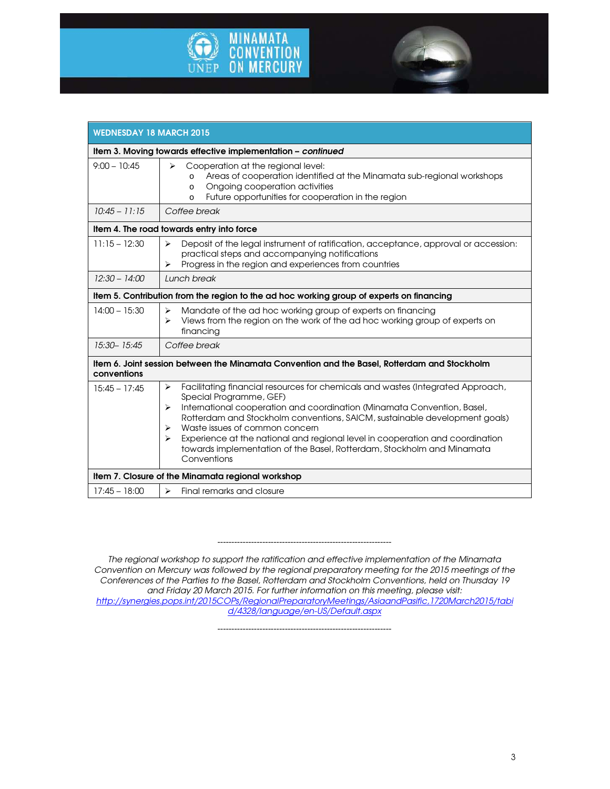



| <b>WEDNESDAY 18 MARCH 2015</b>                                                           |                                                                                                                                                                                                                                                                                                                                                                                                                                                                                                     |  |
|------------------------------------------------------------------------------------------|-----------------------------------------------------------------------------------------------------------------------------------------------------------------------------------------------------------------------------------------------------------------------------------------------------------------------------------------------------------------------------------------------------------------------------------------------------------------------------------------------------|--|
| Item 3. Moving towards effective implementation - continued                              |                                                                                                                                                                                                                                                                                                                                                                                                                                                                                                     |  |
| $9:00 - 10:45$                                                                           | $\blacktriangleright$<br>Cooperation at the regional level:<br>Areas of cooperation identified at the Minamata sub-regional workshops<br>$\Omega$<br>Ongoing cooperation activities<br>$\circ$<br>Future opportunities for cooperation in the region<br>$\circ$                                                                                                                                                                                                                                     |  |
| $10:45 - 11:15$                                                                          | Coffee break                                                                                                                                                                                                                                                                                                                                                                                                                                                                                        |  |
| Item 4. The road towards entry into force                                                |                                                                                                                                                                                                                                                                                                                                                                                                                                                                                                     |  |
| $11:15 - 12:30$                                                                          | Deposit of the legal instrument of ratification, acceptance, approval or accession:<br>⋗<br>practical steps and accompanying notifications<br>Progress in the region and experiences from countries<br>$\blacktriangleright$                                                                                                                                                                                                                                                                        |  |
| $12:30 - 14:00$                                                                          | Lunch break                                                                                                                                                                                                                                                                                                                                                                                                                                                                                         |  |
| Item 5. Contribution from the region to the ad hoc working group of experts on financing |                                                                                                                                                                                                                                                                                                                                                                                                                                                                                                     |  |
| $14:00 - 15:30$                                                                          | Mandate of the ad hoc working group of experts on financing<br>➤<br>Views from the region on the work of the ad hoc working group of experts on<br>⋗<br>financing                                                                                                                                                                                                                                                                                                                                   |  |
| 15:30-15:45                                                                              | Coffee break                                                                                                                                                                                                                                                                                                                                                                                                                                                                                        |  |
| conventions                                                                              | Item 6. Joint session between the Minamata Convention and the Basel, Rotterdam and Stockholm                                                                                                                                                                                                                                                                                                                                                                                                        |  |
| $15:45 - 17:45$                                                                          | Facilitating financial resources for chemicals and wastes (Integrated Approach,<br>⋗<br>Special Programme, GEF)<br>International cooperation and coordination (Minamata Convention, Basel,<br>⋗<br>Rotterdam and Stockholm conventions, SAICM, sustainable development goals)<br>Waste issues of common concern<br>⋗<br>Experience at the national and regional level in cooperation and coordination<br>⋗<br>towards implementation of the Basel, Rotterdam, Stockholm and Minamata<br>Conventions |  |
| Item 7. Closure of the Minamata regional workshop                                        |                                                                                                                                                                                                                                                                                                                                                                                                                                                                                                     |  |
| $17:45 - 18:00$                                                                          | Final remarks and closure<br>$\blacktriangleright$                                                                                                                                                                                                                                                                                                                                                                                                                                                  |  |

*--------------------------------------------------------------* 

*The regional workshop to support the ratification and effective implementation of the Minamata Convention on Mercury was followed by the regional preparatory meeting for the 2015 meetings of the Conferences of the Parties to the Basel, Rotterdam and Stockholm Conventions, held on Thursday 19 and Friday 20 March 2015. For further information on this meeting, please visit: http://synergies.pops.int/2015COPs/RegionalPreparatoryMeetings/AsiaandPasific,1720March2015/tabi d/4328/language/en-US/Default.aspx* 

*--------------------------------------------------------------*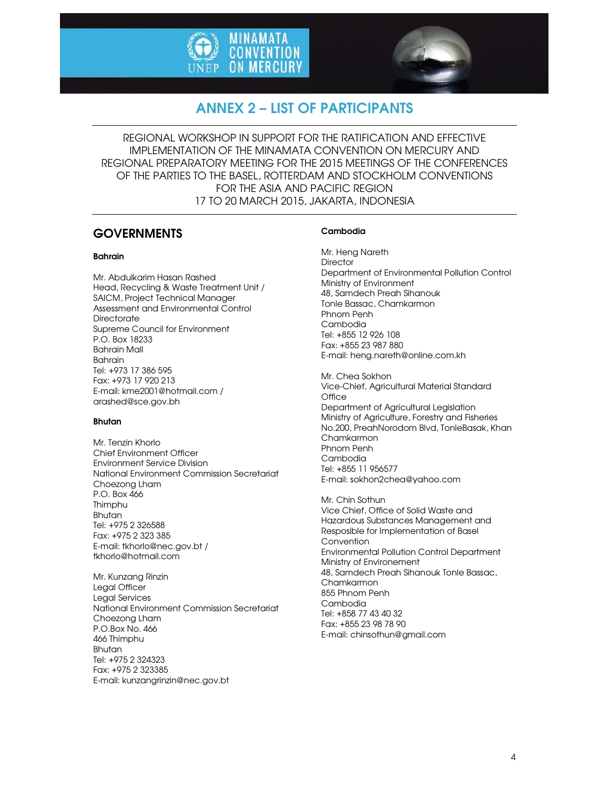



# ANNEX 2 – LIST OF PARTICIPANTS

REGIONAL WORKSHOP IN SUPPORT FOR THE RATIFICATION AND EFFECTIVE IMPLEMENTATION OF THE MINAMATA CONVENTION ON MERCURY AND REGIONAL PREPARATORY MEETING FOR THE 2015 MEETINGS OF THE CONFERENCES OF THE PARTIES TO THE BASEL, ROTTERDAM AND STOCKHOLM CONVENTIONS FOR THE ASIA AND PACIFIC REGION 17 TO 20 MARCH 2015, JAKARTA, INDONESIA

# **GOVERNMENTS**

# Bahrain

Mr. Abdulkarim Hasan Rashed Head, Recycling & Waste Treatment Unit / SAICM, Project Technical Manager Assessment and Environmental Control **Directorate** Supreme Council for Environment P.O. Box 18233 Bahrain Mall Bahrain Tel: +973 17 386 595 Fax: +973 17 920 213 E-mail: kme2001@hotmail.com / arashed@sce.gov.bh

# Bhutan

Mr. Tenzin Khorlo Chief Environment Officer Environment Service Division National Environment Commission Secretariat Choezong Lham P.O. Box 466 Thimphu Bhutan Tel: +975 2 326588 Fax: +975 2 323 385 E-mail: tkhorlo@nec.gov.bt / tkhorlo@hotmail.com

Mr. Kunzang Rinzin Legal Officer Legal Services National Environment Commission Secretariat Choezong Lham P.O.Box No. 466 466 Thimphu Bhutan Tel: +975 2 324323 Fax: +975 2 323385 E-mail: kunzangrinzin@nec.gov.bt

# Cambodia

Mr. Heng Nareth **Director** Department of Environmental Pollution Control Ministry of Environment 48, Samdech Preah Sihanouk Tonle Bassac, Chamkarmon Phnom Penh Cambodia Tel: +855 12 926 108 Fax: +855 23 987 880 E-mail: heng.nareth@online.com.kh

Mr. Chea Sokhon Vice-Chief, Agricultural Material Standard **Office** Department of Agricultural Legislation Ministry of Agriculture, Forestry and Fisheries No.200, PreahNorodom Blvd, TonleBasak, Khan Chamkarmon Phnom Penh Cambodia Tel: +855 11 956577 E-mail: sokhon2chea@yahoo.com

Mr. Chin Sothun Vice Chief, Office of Solid Waste and Hazardous Substances Management and Resposible for Implementation of Basel Convention Environmental Pollution Control Department Ministry of Environement 48, Samdech Preah Sihanouk Tonle Bassac, Chamkarmon 855 Phnom Penh Cambodia Tel: +858 77 43 40 32 Fax: +855 23 98 78 90 E-mail: chinsothun@gmail.com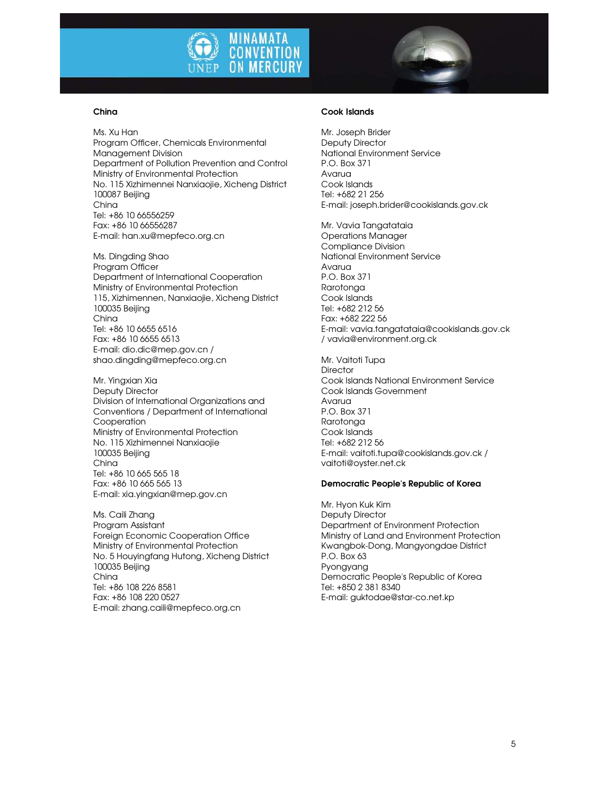

### China

Ms. Xu Han Program Officer, Chemicals Environmental Management Division Department of Pollution Prevention and Control Ministry of Environmental Protection No. 115 Xizhimennei Nanxiaojie, Xicheng District 100087 Beijing China Tel: +86 10 66556259 Fax: +86 10 66556287 E-mail: han.xu@mepfeco.org.cn

Ms. Dingding Shao Program Officer Department of International Cooperation Ministry of Environmental Protection 115, Xizhimennen, Nanxiaojie, Xicheng District 100035 Beijing China Tel: +86 10 6655 6516 Fax: +86 10 6655 6513 E-mail: dio.dic@mep.gov.cn / shao.dingding@mepfeco.org.cn

Mr. Yingxian Xia Deputy Director Division of International Organizations and Conventions / Department of International Cooperation Ministry of Environmental Protection No. 115 Xizhimennei Nanxiaojie 100035 Beijing China Tel: +86 10 665 565 18 Fax: +86 10 665 565 13 E-mail: xia.yingxian@mep.gov.cn

Ms. Caili Zhang Program Assistant Foreign Economic Cooperation Office Ministry of Environmental Protection No. 5 Houyingfang Hutong, Xicheng District 100035 Beijing China Tel: +86 108 226 8581 Fax: +86 108 220 0527 E-mail: zhang.caili@mepfeco.org.cn

# Cook Islands

Mr. Joseph Brider Deputy Director National Environment Service P.O. Box 371 Avarua Cook Islands Tel: +682 21 256 E-mail: joseph.brider@cookislands.gov.ck

Mr. Vavia Tangatataia Operations Manager Compliance Division National Environment Service Avarua P.O. Box 371 Rarotonga Cook Islands Tel: +682 212 56 Fax: +682 222 56 E-mail: vavia.tangatataia@cookislands.gov.ck / vavia@environment.org.ck

Mr. Vaitoti Tupa **Director** Cook Islands National Environment Service Cook Islands Government Avarua P.O. Box 371 Rarotonga Cook Islands Tel: +682 212 56 E-mail: vaitoti.tupa@cookislands.gov.ck / vaitoti@oyster.net.ck

#### Democratic People's Republic of Korea

Mr. Hyon Kuk Kim Deputy Director Department of Environment Protection Ministry of Land and Environment Protection Kwangbok-Dong, Mangyongdae District P.O. Box 63 Pyongyang Democratic People's Republic of Korea Tel: +850 2 381 8340 E-mail: guktodae@star-co.net.kp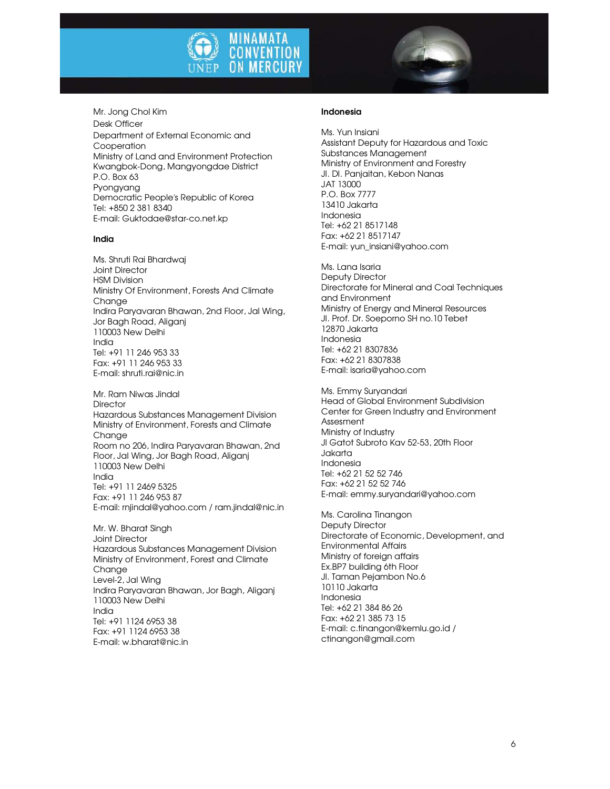

Mr. Jong Chol Kim Desk Officer Department of External Economic and Cooperation Ministry of Land and Environment Protection Kwangbok-Dong, Mangyongdae District P.O. Box 63 Pyongyang Democratic People's Republic of Korea Tel: +850 2 381 8340 E-mail: Guktodae@star-co.net.kp

#### India

Ms. Shruti Rai Bhardwaj Joint Director HSM Division Ministry Of Environment, Forests And Climate Change Indira Paryavaran Bhawan, 2nd Floor, Jal Wing, Jor Bagh Road, Aliganj 110003 New Delhi India Tel: +91 11 246 953 33 Fax: +91 11 246 953 33 E-mail: shruti.rai@nic.in

Mr. Ram Niwas Jindal **Director** Hazardous Substances Management Division Ministry of Environment, Forests and Climate Chanae Room no 206, Indira Paryavaran Bhawan, 2nd Floor, Jal Wing, Jor Bagh Road, Aliganj 110003 New Delhi India Tel: +91 11 2469 5325 Fax: +91 11 246 953 87 E-mail: rnjindal@yahoo.com / ram.jindal@nic.in

Mr. W. Bharat Singh Joint Director Hazardous Substances Management Division Ministry of Environment, Forest and Climate Change Level-2, Jal Wing Indira Paryavaran Bhawan, Jor Bagh, Aliganj 110003 New Delhi India Tel: +91 1124 6953 38 Fax: +91 1124 6953 38 E-mail: w.bharat@nic.in

# Indonesia

Ms. Yun Insiani Assistant Deputy for Hazardous and Toxic Substances Management Ministry of Environment and Forestry JI. DI. Panjaitan, Kebon Nanas JAT 13000 P.O. Box 7777 13410 Jakarta Indonesia Tel: +62 21 8517148 Fax: +62 21 8517147 E-mail: yun\_insiani@yahoo.com

Ms. Lana Isaria Deputy Director Directorate for Mineral and Coal Techniques and Environment Ministry of Energy and Mineral Resources JI. Prof. Dr. Soeporno SH no.10 Tebet 12870 Jakarta Indonesia Tel: +62 21 8307836 Fax: +62 21 8307838 E-mail: isaria@yahoo.com

Ms. Emmy Suryandari Head of Global Environment Subdivision Center for Green Industry and Environment Assesment Ministry of Industry Jl Gatot Subroto Kav 52-53, 20th Floor Jakarta Indonesia Tel: +62 21 52 52 746 Fax: +62 21 52 52 746 E-mail: emmy.suryandari@yahoo.com

Ms. Carolina Tinangon Deputy Director Directorate of Economic, Development, and Environmental Affairs Ministry of foreign affairs Ex.BP7 building 6th Floor Jl. Taman Pejambon No.6 10110 Jakarta Indonesia Tel: +62 21 384 86 26 Fax: +62 21 385 73 15 E-mail: c.tinangon@kemlu.go.id / ctinangon@gmail.com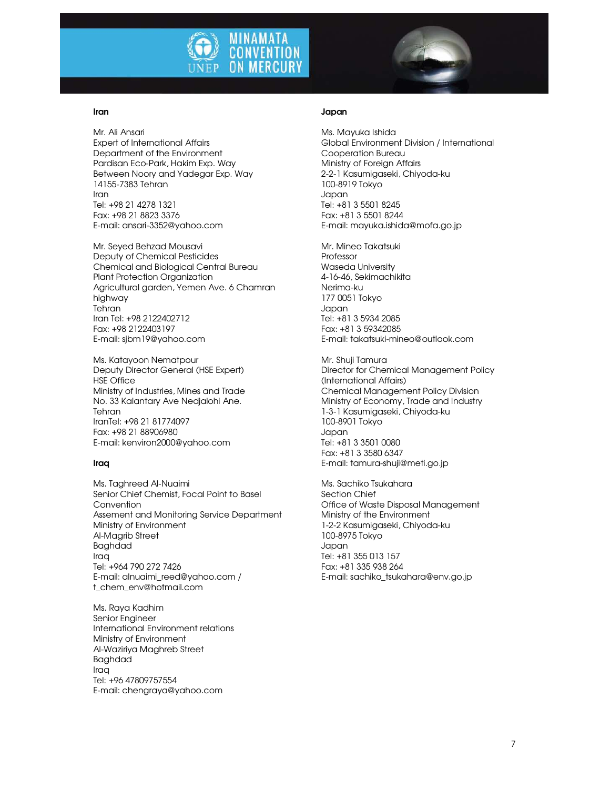

#### Iran

Mr. Ali Ansari Expert of International Affairs Department of the Environment Pardisan Eco-Park, Hakim Exp. Way Between Noory and Yadegar Exp. Way 14155-7383 Tehran Iran Tel: +98 21 4278 1321 Fax: +98 21 8823 3376 E-mail: ansari-3352@yahoo.com

Mr. Seyed Behzad Mousavi Deputy of Chemical Pesticides Chemical and Biological Central Bureau Plant Protection Organization Agricultural garden, Yemen Ave. 6 Chamran highway **Tehran** Iran Tel: +98 2122402712 Fax: +98 2122403197 E-mail: sjbm19@yahoo.com

Ms. Katayoon Nematpour Deputy Director General (HSE Expert) HSE Office Ministry of Industries, Mines and Trade No. 33 Kalantary Ave Nedjalohi Ane. **Tehran** IranTel: +98 21 81774097 Fax: +98 21 88906980 E-mail: kenviron2000@yahoo.com

#### Iraq

Ms. Taghreed Al-Nuaimi Senior Chief Chemist, Focal Point to Basel **Convention** Assement and Monitoring Service Department Ministry of Environment Al-Magrib Street Baghdad Iraq Tel: +964 790 272 7426 E-mail: alnuaimi\_reed@yahoo.com / t\_chem\_env@hotmail.com

Ms. Raya Kadhim Senior Engineer International Environment relations Ministry of Environment Al-Waziriya Maghreb Street Baghdad Iraq Tel: +96 47809757554 E-mail: chengraya@yahoo.com

#### Japan

Ms. Mayuka Ishida Global Environment Division / International Cooperation Bureau Ministry of Foreign Affairs 2-2-1 Kasumigaseki, Chiyoda-ku 100-8919 Tokyo Japan Tel: +81 3 5501 8245 Fax: +81 3 5501 8244 E-mail: mayuka.ishida@mofa.go.jp

Mr. Mineo Takatsuki Professor Waseda University 4-16-46, Sekimachikita Nerima-ku 177 0051 Tokyo Japan Tel: +81 3 5934 2085 Fax: +81 3 59342085 E-mail: takatsuki-mineo@outlook.com

Mr. Shuji Tamura Director for Chemical Management Policy (International Affairs) Chemical Management Policy Division Ministry of Economy, Trade and Industry 1-3-1 Kasumigaseki, Chiyoda-ku 100-8901 Tokyo Japan Tel: +81 3 3501 0080 Fax: +81 3 3580 6347 E-mail: tamura-shuji@meti.go.jp

Ms. Sachiko Tsukahara Section Chief Office of Waste Disposal Management Ministry of the Environment 1-2-2 Kasumigaseki, Chiyoda-ku 100-8975 Tokyo Japan Tel: +81 355 013 157 Fax: +81 335 938 264 E-mail: sachiko\_tsukahara@env.go.jp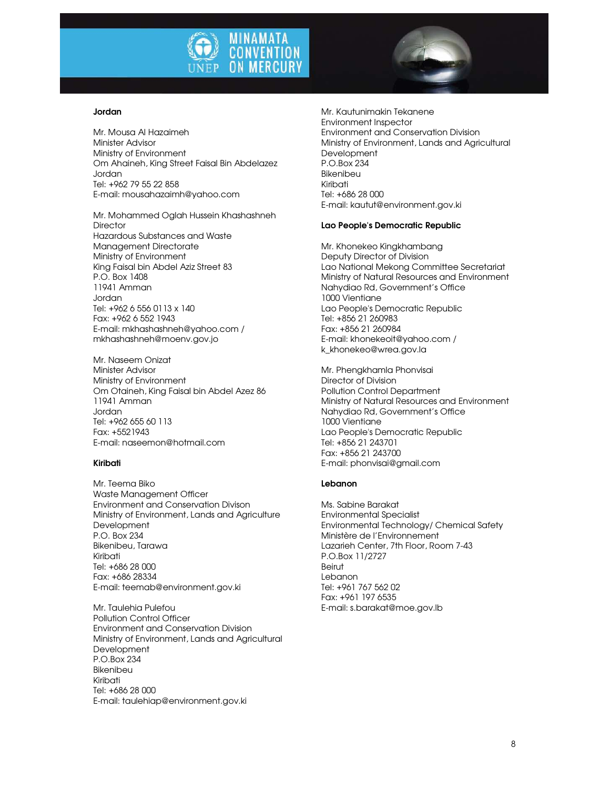

#### Jordan

Mr. Mousa Al Hazaimeh Minister Advisor Ministry of Environment Om Ahaineh, King Street Faisal Bin Abdelazez Jordan Tel: +962 79 55 22 858 E-mail: mousahazaimh@yahoo.com

Mr. Mohammed Oglah Hussein Khashashneh **Director** Hazardous Substances and Waste Management Directorate Ministry of Environment King Faisal bin Abdel Aziz Street 83 P.O. Box 1408 11941 Amman Jordan Tel: +962 6 556 0113 x 140 Fax: +962 6 552 1943 E-mail: mkhashashneh@yahoo.com / mkhashashneh@moenv.gov.jo

Mr. Naseem Onizat Minister Advisor Ministry of Environment Om Otaineh, King Faisal bin Abdel Azez 86 11941 Amman Jordan Tel: +962 655 60 113 Fax: +5521943 E-mail: naseemon@hotmail.com

### Kiribati

Mr. Teema Biko Waste Management Officer Environment and Conservation Divison Ministry of Environment, Lands and Agriculture Development P.O. Box 234 Bikenibeu, Tarawa Kiribati Tel: +686 28 000 Fax: +686 28334 E-mail: teemab@environment.gov.ki

Mr. Taulehia Pulefou Pollution Control Officer Environment and Conservation Division Ministry of Environment, Lands and Agricultural **Development** P.O.Box 234 Bikenibeu Kiribati Tel: +686 28 000 E-mail: taulehiap@environment.gov.ki

Mr. Kautunimakin Tekanene Environment Inspector Environment and Conservation Division Ministry of Environment, Lands and Agricultural Development P.O.Box 234 Bikenibeu Kiribati Tel: +686 28 000 E-mail: kautut@environment.gov.ki

# Lao People's Democratic Republic

Mr. Khonekeo Kingkhambang Deputy Director of Division Lao National Mekong Committee Secretariat Ministry of Natural Resources and Environment Nahydiao Rd, Government's Office 1000 Vientiane Lao People's Democratic Republic Tel: +856 21 260983 Fax: +856 21 260984 E-mail: khonekeoit@yahoo.com / k\_khonekeo@wrea.gov.la

Mr. Phengkhamla Phonvisai Director of Division Pollution Control Department Ministry of Natural Resources and Environment Nahydiao Rd, Government's Office 1000 Vientiane Lao People's Democratic Republic Tel: +856 21 243701 Fax: +856 21 243700 E-mail: phonvisai@gmail.com

# Lebanon

Ms. Sabine Barakat Environmental Specialist Environmental Technology/ Chemical Safety Ministère de l'Environnement Lazarieh Center, 7th Floor, Room 7-43 P.O.Box 11/2727 Beirut Lebanon Tel: +961 767 562 02 Fax: +961 197 6535 E-mail: s.barakat@moe.gov.lb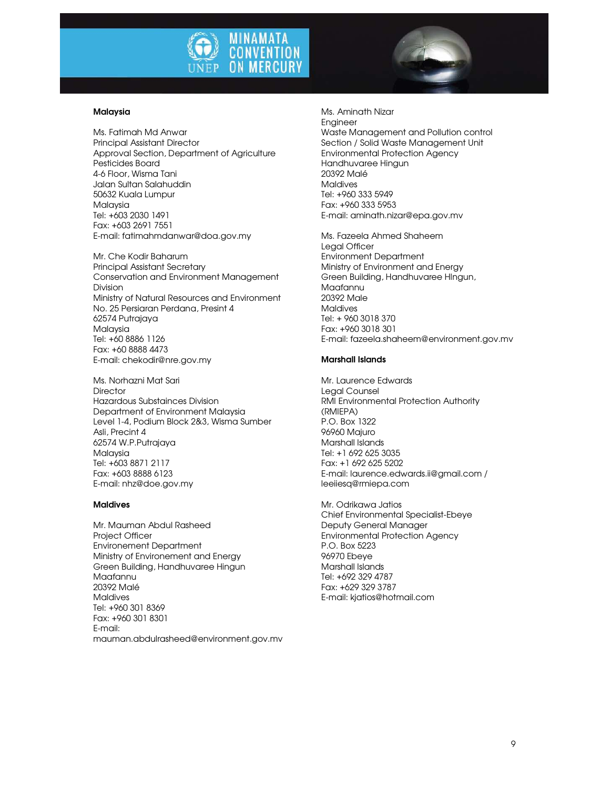

#### Malaysia

Ms. Fatimah Md Anwar Principal Assistant Director Approval Section, Department of Agriculture Pesticides Board 4-6 Floor, Wisma Tani Jalan Sultan Salahuddin 50632 Kuala Lumpur Malaysia Tel: +603 2030 1491 Fax: +603 2691 7551 E-mail: fatimahmdanwar@doa.gov.my

Mr. Che Kodir Baharum Principal Assistant Secretary Conservation and Environment Management Division Ministry of Natural Resources and Environment No. 25 Persiaran Perdana, Presint 4 62574 Putrajaya Malaysia Tel: +60 8886 1126 Fax: +60 8888 4473 E-mail: chekodir@nre.gov.my

Ms. Norhazni Mat Sari **Director** Hazardous Substainces Division Department of Environment Malaysia Level 1-4, Podium Block 2&3, Wisma Sumber Asli, Precint 4 62574 W.P.Putrajaya Malaysia Tel: +603 8871 2117 Fax: +603 8888 6123 E-mail: nhz@doe.gov.my

#### **Maldives**

Mr. Mauman Abdul Rasheed Project Officer Environement Department Ministry of Environement and Energy Green Building, Handhuvaree Hingun Maafannu 20392 Malé **Maldives** Tel: +960 301 8369 Fax: +960 301 8301 E-mail: mauman.abdulrasheed@environment.gov.mv

Ms. Aminath Nizar Engineer Waste Management and Pollution control Section / Solid Waste Management Unit Environmental Protection Agency Handhuvaree Hingun 20392 Malé **Maldives** Tel: +960 333 5949 Fax: +960 333 5953 E-mail: aminath.nizar@epa.gov.mv

Ms. Fazeela Ahmed Shaheem Legal Officer Environment Department Ministry of Environment and Energy Green Building, Handhuvaree HIngun, Maafannu 20392 Male Maldives Tel: + 960 3018 370 Fax: +960 3018 301 E-mail: fazeela.shaheem@environment.gov.mv

#### Marshall Islands

Mr. Laurence Edwards Legal Counsel RMI Environmental Protection Authority (RMIEPA) P.O. Box 1322 96960 Majuro Marshall Islands Tel: +1 692 625 3035 Fax: +1 692 625 5202 E-mail: laurence.edwards.ii@gmail.com / leeiiesq@rmiepa.com

Mr. Odrikawa Jatios Chief Environmental Specialist-Ebeye Deputy General Manager Environmental Protection Agency P.O. Box 5223 96970 Ebeye Marshall Islands Tel: +692 329 4787 Fax: +629 329 3787 E-mail: kjatios@hotmail.com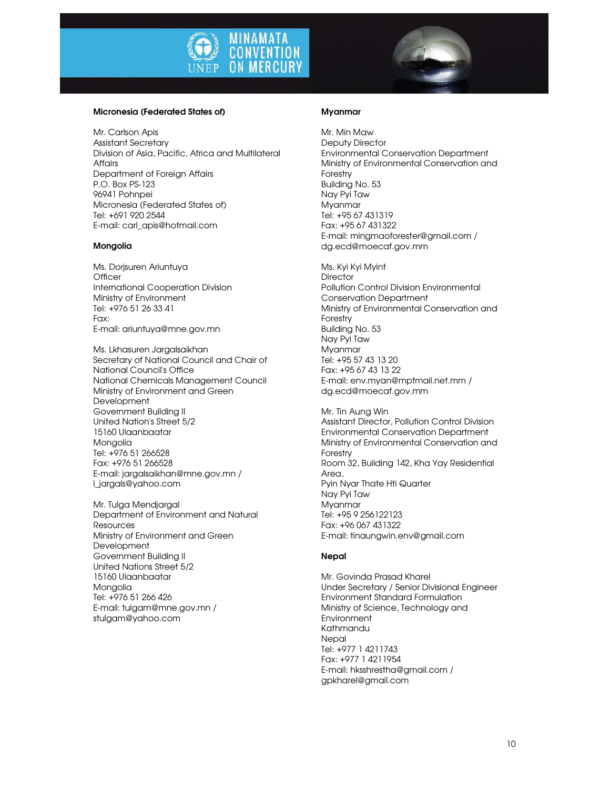



#### Micronesia (Federated States of)

Mr. Carlson Apis Assistant Secretary Division of Asia, Pacific, Africa and Multilateral Affairs Department of Foreign Affairs P.O. Box PS-123 96941 Pohnpei Micronesia (Federated States of) Tel: +691 920 2544 E-mail: carl\_apis@hotmail.com

#### Mongolia

Ms. Dorjsuren Ariuntuya **Officer** International Cooperation Division Ministry of Environment Tel: +976 51 26 33 41 Fax: E-mail: ariuntuya@mne.gov.mn

Ms. Lkhasuren Jargalsaikhan Secretary of National Council and Chair of National Council's Office National Chemicals Management Council Ministry of Environment and Green Development Government Building II United Nation's Street 5/2 15160 Ulaanbaatar Mongolia Tel: +976 51 266528 Fax: +976 51 266528 E-mail: jargalsaikhan@mne.gov.mn / l\_jargals@yahoo.com

Mr. Tulga Mendjargal Department of Environment and Natural **Resources** Ministry of Environment and Green Development Government Building II United Nations Street 5/2 15160 Ulaanbaatar Mongolia Tel: +976 51 266 426 E-mail: tulgam@mne.gov.mn / stulgam@yahoo.com

#### Myanmar

Mr. Min Maw Deputy Director Environmental Conservation Department Ministry of Environmental Conservation and Forestry Building No. 53 Nay Pyi Taw Myanmar Tel: +95 67 431319 Fax: +95 67 431322 E-mail: mingmaoforester@gmail.com / dg.ecd@moecaf.gov.mm

Ms. Kyi Kyi Myint **Director** Pollution Control Division Environmental Conservation Department Ministry of Environmental Conservation and Forestry Building No. 53 Nay Pyi Taw Myanmar Tel: +95 57 43 13 20 Fax: +95 67 43 13 22 E-mail: env.myan@mptmail.net.mm / dg.ecd@moecaf.gov.mm

Mr. Tin Aung Win Assistant Director, Pollution Control Division Environmental Conservation Department Ministry of Environmental Conservation and Forestry Room 32, Building 142, Kha Yay Residential Area, Pyin Nyar Thate Hti Quarter Nay Pyi Taw Myanmar Tel: +95 9 256122123 Fax: +96 067 431322 E-mail: tinaungwin.env@gmail.com

# **Nepal**

Mr. Govinda Prasad Kharel Under Secretary / Senior Divisional Engineer Environment Standard Formulation Ministry of Science, Technology and **Environment** Kathmandu **Nepal** Tel: +977 1 4211743 Fax: +977 1 4211954 E-mail: hksshrestha@gmail.com / gpkharel@gmail.com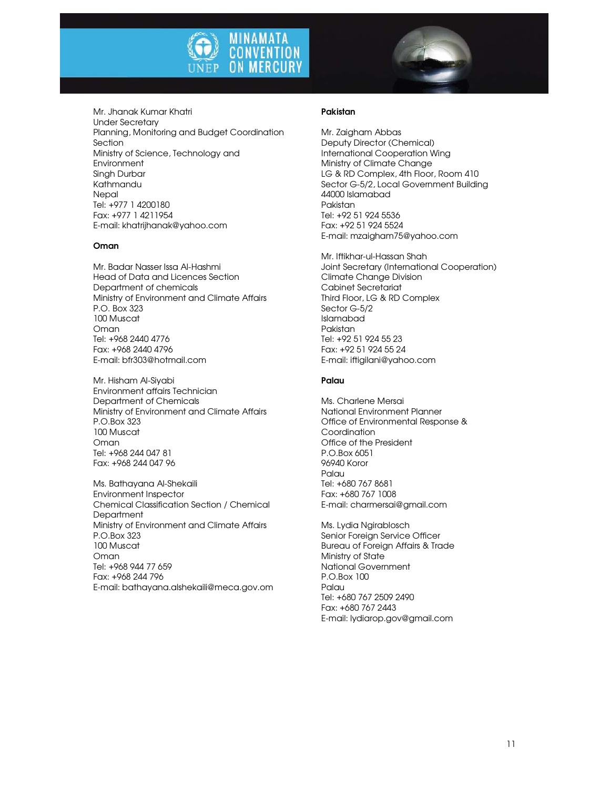



Mr. Jhanak Kumar Khatri Under Secretary Planning, Monitoring and Budget Coordination Section Ministry of Science, Technology and **Environment** Singh Durbar Kathmandu **Nepal** Tel: +977 1 4200180 Fax: +977 1 4211954 E-mail: khatrijhanak@yahoo.com

### Oman

Mr. Badar Nasser Issa Al-Hashmi Head of Data and Licences Section Department of chemicals Ministry of Environment and Climate Affairs P.O. Box 323 100 Muscat Oman Tel: +968 2440 4776 Fax: +968 2440 4796 E-mail: bfr303@hotmail.com

Mr. Hisham Al-Siyabi Environment affairs Technician Department of Chemicals Ministry of Environment and Climate Affairs P.O.Box 323 100 Muscat Oman Tel: +968 244 047 81 Fax: +968 244 047 96

Ms. Bathayana Al-Shekaili Environment Inspector Chemical Classification Section / Chemical **Department** Ministry of Environment and Climate Affairs P.O.Box 323 100 Muscat Oman Tel: +968 944 77 659 Fax: +968 244 796 E-mail: bathayana.alshekaili@meca.gov.om

# Pakistan

Mr. Zaigham Abbas Deputy Director (Chemical) International Cooperation Wing Ministry of Climate Change LG & RD Complex, 4th Floor, Room 410 Sector G-5/2, Local Government Building 44000 Islamabad Pakistan Tel: +92 51 924 5536 Fax: +92 51 924 5524 E-mail: mzaigham75@yahoo.com

Mr. Iftikhar-ul-Hassan Shah Joint Secretary (International Cooperation) Climate Change Division Cabinet Secretariat Third Floor, LG & RD Complex Sector G-5/2 Islamabad Pakistan Tel: +92 51 924 55 23 Fax: +92 51 924 55 24 E-mail: iftigilani@yahoo.com

### Palau

Ms. Charlene Mersai National Environment Planner Office of Environmental Response & **Coordination** Office of the President P.O.Box 6051 96940 Koror Palau Tel: +680 767 8681 Fax: +680 767 1008 E-mail: charmersai@gmail.com

Ms. Lydia Ngirablosch Senior Foreign Service Officer Bureau of Foreign Affairs & Trade Ministry of State National Government P.O.Box 100 Palau Tel: +680 767 2509 2490 Fax: +680 767 2443 E-mail: lydiarop.gov@gmail.com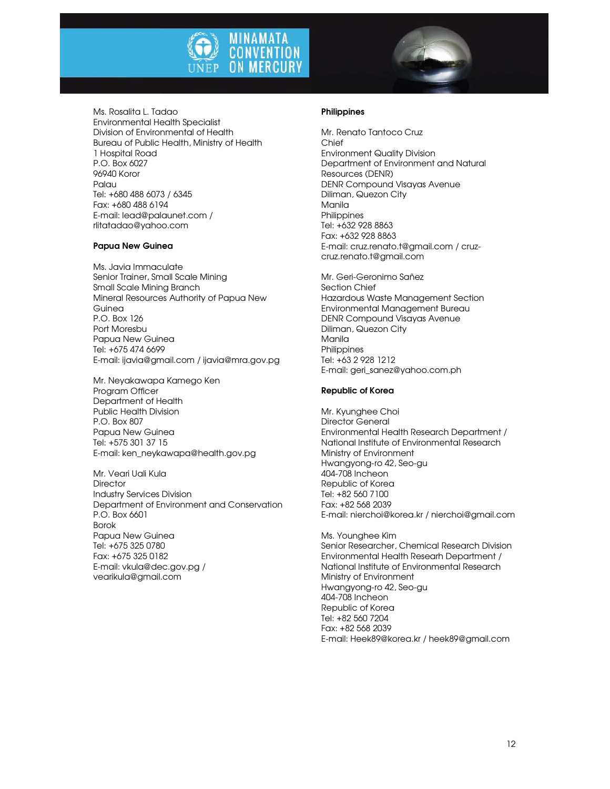

Ms. Rosalita L. Tadao Environmental Health Specialist Division of Environmental of Health Bureau of Public Health, Ministry of Health 1 Hospital Road P.O. Box 6027 96940 Koror Palau Tel: +680 488 6073 / 6345 Fax: +680 488 6194 E-mail: lead@palaunet.com / rlitatadao@yahoo.com

# Papua New Guinea

Ms. Javia Immaculate Senior Trainer, Small Scale Mining Small Scale Mining Branch Mineral Resources Authority of Papua New Guinea P.O. Box 126 Port Moresbu Papua New Guinea Tel: +675 474 6699 E-mail: ijavia@gmail.com / ijavia@mra.gov.pg

Mr. Neyakawapa Kamego Ken Program Officer Department of Health Public Health Division P.O. Box 807 Papua New Guinea Tel: +575 301 37 15 E-mail: ken\_neykawapa@health.gov.pg

Mr. Veari Uali Kula **Director** Industry Services Division Department of Environment and Conservation P.O. Box 6601 Borok Papua New Guinea Tel: +675 325 0780 Fax: +675 325 0182 E-mail: vkula@dec.gov.pg / vearikula@gmail.com

#### Philippines

Mr. Renato Tantoco Cruz Chief Environment Quality Division Department of Environment and Natural Resources (DENR) DENR Compound Visayas Avenue Diliman, Quezon City Manila Philippines Tel: +632 928 8863 Fax: +632 928 8863 E-mail: cruz.renato.t@gmail.com / cruzcruz.renato.t@gmail.com

Mr. Geri-Geronimo Sañez Section Chief Hazardous Waste Management Section Environmental Management Bureau DENR Compound Visayas Avenue Diliman, Quezon City Manila Philippines Tel: +63 2 928 1212 E-mail: geri\_sanez@yahoo.com.ph

#### Republic of Korea

Mr. Kyunghee Choi Director General Environmental Health Research Department / National Institute of Environmental Research Ministry of Environment Hwangyong-ro 42, Seo-gu 404-708 Incheon Republic of Korea Tel: +82 560 7100 Fax: +82 568 2039 E-mail: nierchoi@korea.kr / nierchoi@gmail.com

Ms. Younghee Kim Senior Researcher, Chemical Research Division Environmental Health Researh Department / National Institute of Environmental Research Ministry of Environment Hwangyong-ro 42, Seo-gu 404-708 Incheon Republic of Korea Tel: +82 560 7204 Fax: +82 568 2039 E-mail: Heek89@korea.kr / heek89@gmail.com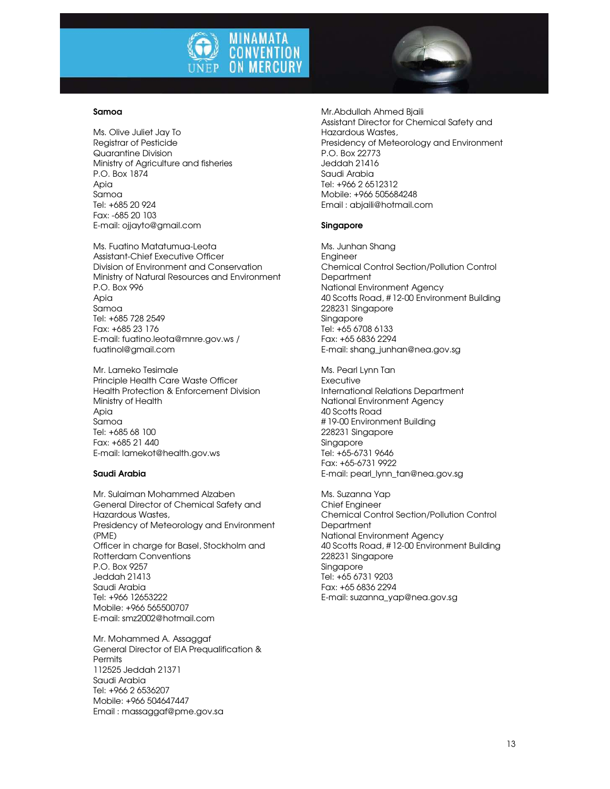

#### Samoa

Ms. Olive Juliet Jay To Registrar of Pesticide Quarantine Division Ministry of Agriculture and fisheries P.O. Box 1874 Apia Samoa Tel: +685 20 924 Fax: -685 20 103 E-mail: ojjayto@gmail.com

Ms. Fuatino Matatumua-Leota Assistant-Chief Executive Officer Division of Environment and Conservation Ministry of Natural Resources and Environment P.O. Box 996 Apia Samoa Tel: +685 728 2549 Fax: +685 23 176 E-mail: fuatino.leota@mnre.gov.ws / fuatinol@gmail.com

Mr. Lameko Tesimale Principle Health Care Waste Officer Health Protection & Enforcement Division Ministry of Health Apia Samoa Tel: +685 68 100 Fax: +685 21 440 E-mail: lamekot@health.gov.ws

#### Saudi Arabia

Mr. Sulaiman Mohammed Alzaben General Director of Chemical Safety and Hazardous Wastes, Presidency of Meteorology and Environment (PME) Officer in charge for Basel, Stockholm and Rotterdam Conventions P.O. Box 9257 Jeddah 21413 Saudi Arabia Tel: +966 12653222 Mobile: +966 565500707 E-mail: smz2002@hotmail.com

Mr. Mohammed A. Assaggaf General Director of EIA Prequalification & **Permits** 112525 Jeddah 21371 Saudi Arabia Tel: +966 2 6536207 Mobile: +966 504647447 Email : massaggaf@pme.gov.sa

Mr.Abdullah Ahmed Bjaili Assistant Director for Chemical Safety and Hazardous Wastes, Presidency of Meteorology and Environment P.O. Box 22773 Jeddah 21416 Saudi Arabia Tel: +966 2 6512312 Mobile: +966 505684248 Email : abjaili@hotmail.com

#### Singapore

Ms. Junhan Shang Engineer Chemical Control Section/Pollution Control **Department** National Environment Agency 40 Scotts Road, # 12-00 Environment Building 228231 Singapore Singapore Tel: +65 6708 6133 Fax: +65 6836 2294 E-mail: shang\_junhan@nea.gov.sg

Ms. Pearl Lynn Tan **Executive** International Relations Department National Environment Agency 40 Scotts Road # 19-00 Environment Building 228231 Singapore Singapore Tel: +65-6731 9646 Fax: +65-6731 9922 E-mail: pearl\_lynn\_tan@nea.gov.sg

Ms. Suzanna Yap Chief Engineer Chemical Control Section/Pollution Control **Department** National Environment Agency 40 Scotts Road, # 12-00 Environment Building 228231 Singapore Singapore Tel: +65 6731 9203 Fax: +65 6836 2294 E-mail: suzanna\_yap@nea.gov.sg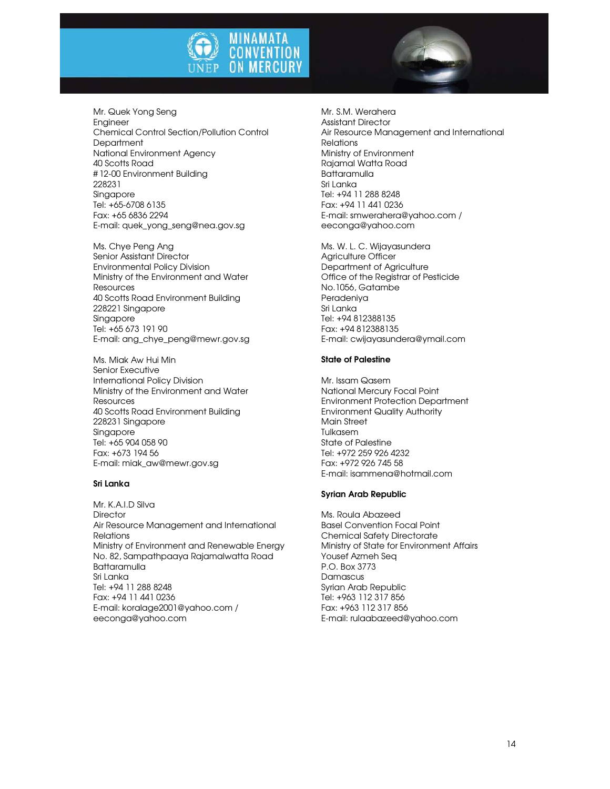



Mr. Quek Yong Seng Engineer Chemical Control Section/Pollution Control **Department** National Environment Agency 40 Scotts Road # 12-00 Environment Building 228231 Singapore Tel: +65-6708 6135 Fax: +65 6836 2294 E-mail: quek\_yong\_seng@nea.gov.sg

Ms. Chye Peng Ang Senior Assistant Director Environmental Policy Division Ministry of the Environment and Water **Resources** 40 Scotts Road Environment Building 228221 Singapore Singapore Tel: +65 673 191 90 E-mail: ang\_chye\_peng@mewr.gov.sg

Ms. Miak Aw Hui Min Senior Executive International Policy Division Ministry of the Environment and Water **Resources** 40 Scotts Road Environment Building 228231 Singapore Singapore Tel: +65 904 058 90 Fax: +673 194 56 E-mail: miak\_aw@mewr.gov.sg

#### Sri Lanka

Mr. K.A.I.D Silva **Director** Air Resource Management and International **Relations** Ministry of Environment and Renewable Energy No. 82, Sampathpaaya Rajamalwatta Road Battaramulla Sri Lanka Tel: +94 11 288 8248 Fax: +94 11 441 0236 E-mail: koralage2001@yahoo.com / eeconga@yahoo.com

Mr. S.M. Werahera Assistant Director Air Resource Management and International Relations Ministry of Environment Rajamal Watta Road **Battaramulla** Sri Lanka Tel: +94 11 288 8248 Fax: +94 11 441 0236 E-mail: smwerahera@yahoo.com / eeconga@yahoo.com

Ms. W. L. C. Wijayasundera Agriculture Officer Department of Agriculture Office of the Registrar of Pesticide No.1056, Gatambe Peradeniya Sri Lanka Tel: +94 812388135 Fax: +94 812388135 E-mail: cwijayasundera@ymail.com

### State of Palestine

Mr. Issam Qasem National Mercury Focal Point Environment Protection Department Environment Quality Authority Main Street Tulkasem State of Palestine Tel: +972 259 926 4232 Fax: +972 926 745 58 E-mail: isammena@hotmail.com

# Syrian Arab Republic

Ms. Roula Abazeed Basel Convention Focal Point Chemical Safety Directorate Ministry of State for Environment Affairs Yousef Azmeh Seq P.O. Box 3773 **Damascus** Syrian Arab Republic Tel: +963 112 317 856 Fax: +963 112 317 856 E-mail: rulaabazeed@yahoo.com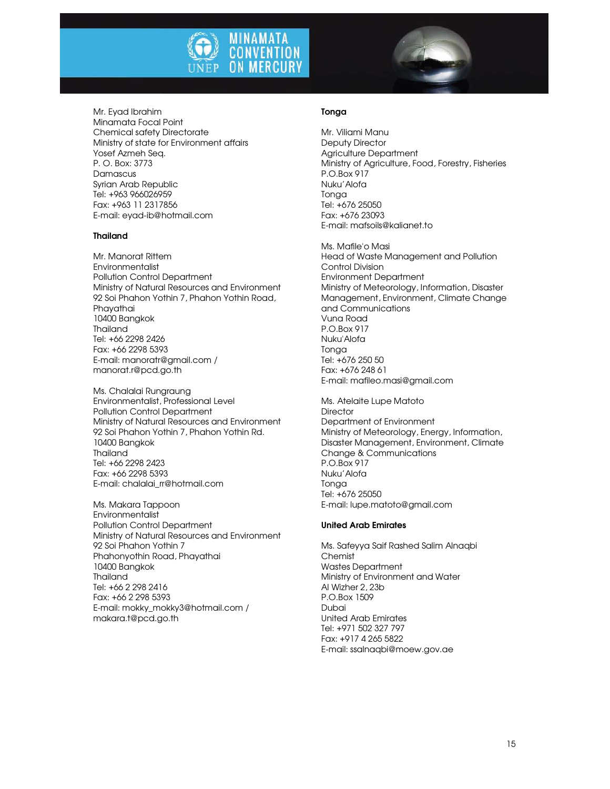



Mr. Eyad Ibrahim Minamata Focal Point Chemical safety Directorate Ministry of state for Environment affairs Yosef Azmeh Seq. P. O. Box: 3773 Damascus Syrian Arab Republic Tel: +963 966026959 Fax: +963 11 2317856 E-mail: eyad-ib@hotmail.com

# Thailand

Mr. Manorat Rittem Environmentalist Pollution Control Department Ministry of Natural Resources and Environment 92 Soi Phahon Yothin 7, Phahon Yothin Road, Phayathai 10400 Bangkok Thailand Tel: +66 2298 2426 Fax: +66 2298 5393 E-mail: manoratr@gmail.com / manorat.r@pcd.go.th

Ms. Chalalai Rungraung Environmentalist, Professional Level Pollution Control Department Ministry of Natural Resources and Environment 92 Soi Phahon Yothin 7, Phahon Yothin Rd. 10400 Bangkok Thailand Tel: +66 2298 2423 Fax: +66 2298 5393 E-mail: chalalai\_rr@hotmail.com

Ms. Makara Tappoon Environmentalist Pollution Control Department Ministry of Natural Resources and Environment 92 Soi Phahon Yothin 7 Phahonyothin Road, Phayathai 10400 Bangkok Thailand Tel: +66 2 298 2416 Fax: +66 2 298 5393 E-mail: mokky\_mokky3@hotmail.com / makara.t@pcd.go.th

### Tonga

Mr. Viliami Manu Deputy Director Agriculture Department Ministry of Agriculture, Food, Forestry, Fisheries P.O.Box 917 Nuku'Alofa Tonga Tel: +676 25050 Fax: +676 23093 E-mail: mafsoils@kalianet.to

Ms. Mafile'o Masi Head of Waste Management and Pollution Control Division Environment Department Ministry of Meteorology, Information, Disaster Management, Environment, Climate Change and Communications Vuna Road P.O.Box 917 Nuku'Alofa Tonga Tel: +676 250 50 Fax: +676 248 61 E-mail: mafileo.masi@gmail.com

Ms. Atelaite Lupe Matoto **Director** Department of Environment Ministry of Meteorology, Energy, Information, Disaster Management, Environment, Climate Change & Communications P.O.Box 917 Nuku'Alofa **Tonga** Tel: +676 25050 E-mail: lupe.matoto@gmail.com

### United Arab Emirates

Ms. Safeyya Saif Rashed Salim Alnaqbi **Chemist** Wastes Department Ministry of Environment and Water Al Wizher 2, 23b P.O.Box 1509 Dubai United Arab Emirates Tel: +971 502 327 797 Fax: +917 4 265 5822 E-mail: ssalnaqbi@moew.gov.ae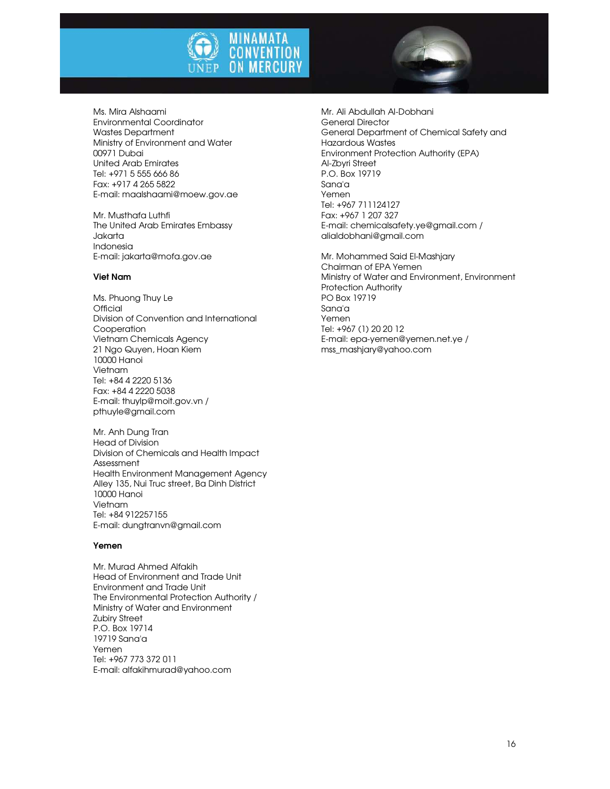



Ms. Mira Alshaami Environmental Coordinator Wastes Department Ministry of Environment and Water 00971 Dubai United Arab Emirates Tel: +971 5 555 666 86 Fax: +917 4 265 5822 E-mail: maalshaami@moew.gov.ae

Mr. Musthafa Luthfi The United Arab Emirates Embassy Jakarta Indonesia E-mail: jakarta@mofa.gov.ae

#### Viet Nam

Ms. Phuong Thuy Le **Official** Division of Convention and International Cooperation Vietnam Chemicals Agency 21 Ngo Quyen, Hoan Kiem 10000 Hanoi Vietnam Tel: +84 4 2220 5136 Fax: +84 4 2220 5038 E-mail: thuylp@moit.gov.vn / pthuyle@gmail.com

Mr. Anh Dung Tran Head of Division Division of Chemicals and Health Impact Assessment Health Environment Management Agency Alley 135, Nui Truc street, Ba Dinh District 10000 Hanoi Vietnam Tel: +84 912257155 E-mail: dungtranvn@gmail.com

# Yemen

Mr. Murad Ahmed Alfakih Head of Environment and Trade Unit Environment and Trade Unit The Environmental Protection Authority / Ministry of Water and Environment Zubiry Street P.O. Box 19714 19719 Sana'a Yemen Tel: +967 773 372 011 E-mail: alfakihmurad@yahoo.com

Mr. Ali Abdullah Al-Dobhani General Director General Department of Chemical Safety and Hazardous Wastes Environment Protection Authority (EPA) Al-Zbyri Street P.O. Box 19719 Sana'a Yemen Tel: +967 711124127 Fax: +967 1 207 327 E-mail: chemicalsafety.ye@gmail.com / alialdobhani@gmail.com

Mr. Mohammed Said El-Mashjary Chairman of EPA Yemen Ministry of Water and Environment, Environment Protection Authority PO Box 19719 Sana'a Yemen Tel: +967 (1) 20 20 12 E-mail: epa-yemen@yemen.net.ye / mss\_mashjary@yahoo.com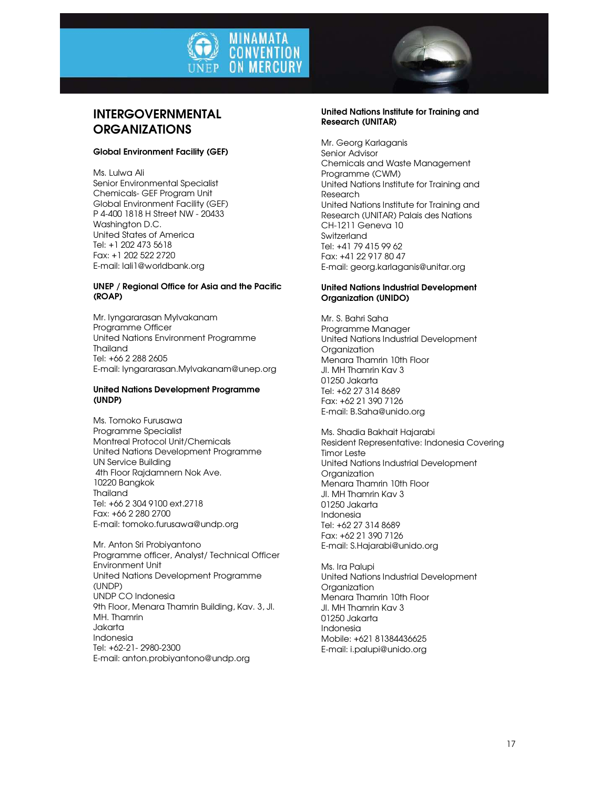



# INTERGOVERNMENTAL **ORGANIZATIONS**

# Global Environment Facility (GEF)

Ms. Lulwa Ali Senior Environmental Specialist Chemicals- GEF Program Unit Global Environment Facility (GEF) P 4-400 1818 H Street NW - 20433 Washington D.C. United States of America Tel: +1 202 473 5618 Fax: +1 202 522 2720 E-mail: lali1@worldbank.org

# UNEP / Regional Office for Asia and the Pacific (ROAP)

Mr. Iyngararasan Mylvakanam Programme Officer United Nations Environment Programme Thailand Tel: +66 2 288 2605 E-mail: Iyngararasan.Mylvakanam@unep.org

# United Nations Development Programme (UNDP)

Ms. Tomoko Furusawa Programme Specialist Montreal Protocol Unit/Chemicals United Nations Development Programme UN Service Building 4th Floor Rajdamnern Nok Ave. 10220 Bangkok Thailand Tel: +66 2 304 9100 ext.2718 Fax: +66 2 280 2700 E-mail: tomoko.furusawa@undp.org

Mr. Anton Sri Probiyantono Programme officer, Analyst/ Technical Officer Environment Unit United Nations Development Programme (UNDP) UNDP CO Indonesia 9th Floor, Menara Thamrin Building, Kav. 3, Jl. MH. Thamrin Jakarta Indonesia Tel: +62-21- 2980-2300 E-mail: anton.probiyantono@undp.org

### United Nations Institute for Training and Research (UNITAR)

Mr. Georg Karlaganis Senior Advisor Chemicals and Waste Management Programme (CWM) United Nations Institute for Training and Research United Nations Institute for Training and Research (UNITAR) Palais des Nations CH-1211 Geneva 10 **Switzerland** Tel: +41 79 415 99 62 Fax: +41 22 917 80 47 E-mail: georg.karlaganis@unitar.org

# United Nations Industrial Development Organization (UNIDO)

Mr. S. Bahri Saha Programme Manager United Nations Industrial Development **Organization** Menara Thamrin 10th Floor Jl. MH Thamrin Kav 3 01250 Jakarta Tel: +62 27 314 8689 Fax: +62 21 390 7126 E-mail: B.Saha@unido.org

Ms. Shadia Bakhait Hajarabi Resident Representative: Indonesia Covering Timor Leste United Nations Industrial Development **Organization** Menara Thamrin 10th Floor Jl. MH Thamrin Kav 3 01250 Jakarta Indonesia Tel: +62 27 314 8689 Fax: +62 21 390 7126 E-mail: S.Hajarabi@unido.org

Ms. Ira Palupi United Nations Industrial Development **Organization** Menara Thamrin 10th Floor Jl. MH Thamrin Kav 3 01250 Jakarta Indonesia Mobile: +621 81384436625 E-mail: i.palupi@unido.org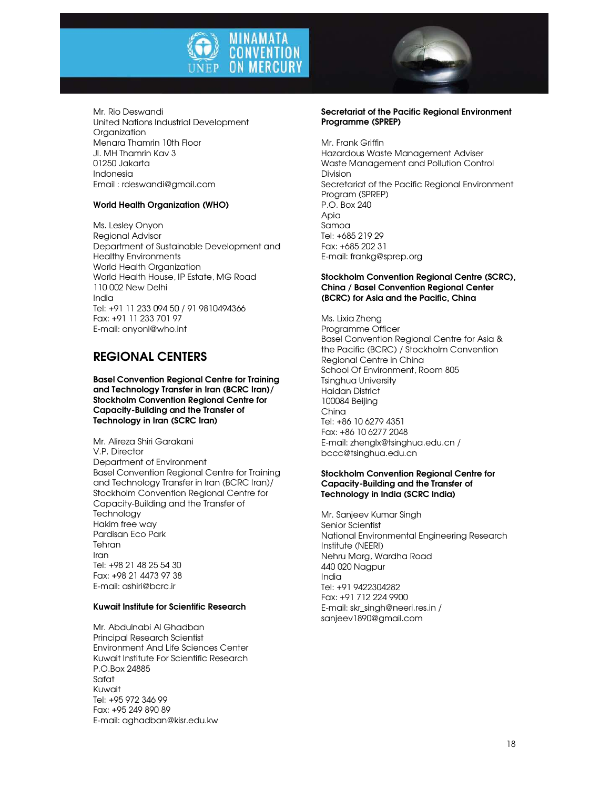



Mr. Rio Deswandi United Nations Industrial Development **Organization** Menara Thamrin 10th Floor Jl. MH Thamrin Kav 3 01250 Jakarta Indonesia Email : rdeswandi@gmail.com

# World Health Organization (WHO)

Ms. Lesley Onyon Regional Advisor Department of Sustainable Development and Healthy Environments World Health Organization World Health House, IP Estate, MG Road 110 002 New Delhi India Tel: +91 11 233 094 50 / 91 9810494366 Fax: +91 11 233 701 97 E-mail: onyonl@who.int

# REGIONAL CENTERS

Basel Convention Regional Centre for Training and Technology Transfer in Iran (BCRC Iran)/ Stockholm Convention Regional Centre for Capacity-Building and the Transfer of Technology in Iran (SCRC Iran)

Mr. Alireza Shiri Garakani V.P. Director Department of Environment Basel Convention Regional Centre for Training and Technology Transfer in Iran (BCRC Iran)/ Stockholm Convention Regional Centre for Capacity-Building and the Transfer of **Technology** Hakim free way Pardisan Eco Park Tehran Iran Tel: +98 21 48 25 54 30 Fax: +98 21 4473 97 38 E-mail: ashiri@bcrc.ir

# Kuwait Institute for Scientific Research

Mr. Abdulnabi Al Ghadban Principal Research Scientist Environment And Life Sciences Center Kuwait Institute For Scientific Research P.O.Box 24885 Safat Kuwait Tel: +95 972 346 99 Fax: +95 249 890 89 E-mail: aghadban@kisr.edu.kw

#### Secretariat of the Pacific Regional Environment Programme (SPREP)

Mr. Frank Griffin Hazardous Waste Management Adviser Waste Management and Pollution Control Division Secretariat of the Pacific Regional Environment Program (SPREP) P.O. Box 240 Apia Samoa Tel: +685 219 29 Fax: +685 202 31 E-mail: frankg@sprep.org

#### Stockholm Convention Regional Centre (SCRC), China / Basel Convention Regional Center (BCRC) for Asia and the Pacific, China

Ms. Lixia Zheng Programme Officer Basel Convention Regional Centre for Asia & the Pacific (BCRC) / Stockholm Convention Regional Centre in China School Of Environment, Room 805 Tsinghua University Haidan District 100084 Beijing China Tel: +86 10 6279 4351 Fax: +86 10 6277 2048 E-mail: zhenglx@tsinghua.edu.cn / bccc@tsinghua.edu.cn

### Stockholm Convention Regional Centre for Capacity-Building and the Transfer of Technology in India (SCRC India)

Mr. Sanjeev Kumar Singh Senior Scientist National Environmental Engineering Research Institute (NEERI) Nehru Marg, Wardha Road 440 020 Nagpur India Tel: +91 9422304282 Fax: +91 712 224 9900 E-mail: skr\_singh@neeri.res.in / sanjeev1890@gmail.com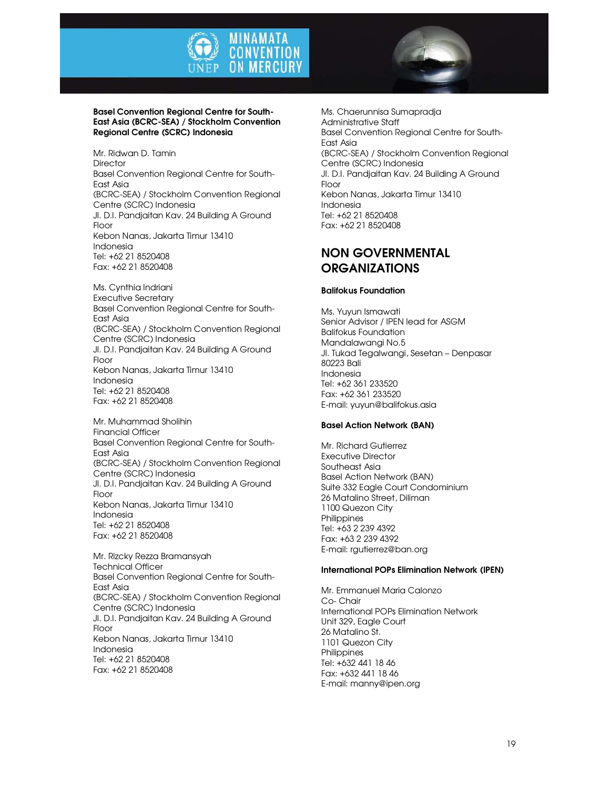



#### Basel Convention Regional Centre for South-East Asia (BCRC-SEA) / Stockholm Convention Regional Centre (SCRC) Indonesia

Mr. Ridwan D. Tamin **Director** Basel Convention Regional Centre for South-East Asia (BCRC-SEA) / Stockholm Convention Regional Centre (SCRC) Indonesia Jl. D.I. Pandjaitan Kav. 24 Building A Ground Floor Kebon Nanas, Jakarta Timur 13410 Indonesia Tel: +62 21 8520408 Fax: +62 21 8520408

Ms. Cynthia Indriani Executive Secretary Basel Convention Regional Centre for South-East Asia (BCRC-SEA) / Stockholm Convention Regional Centre (SCRC) Indonesia Jl. D.I. Pandjaitan Kav. 24 Building A Ground Floor Kebon Nanas, Jakarta Timur 13410 Indonesia Tel: +62 21 8520408 Fax: +62 21 8520408

Mr. Muhammad Sholihin Financial Officer Basel Convention Regional Centre for South-East Asia (BCRC-SEA) / Stockholm Convention Regional Centre (SCRC) Indonesia Jl. D.I. Pandjaitan Kav. 24 Building A Ground Floor Kebon Nanas, Jakarta Timur 13410 Indonesia Tel: +62 21 8520408 Fax: +62 21 8520408

Mr. Rizcky Rezza Bramansyah Technical Officer Basel Convention Regional Centre for South-East Asia (BCRC-SEA) / Stockholm Convention Regional Centre (SCRC) Indonesia Jl. D.I. Pandjaitan Kav. 24 Building A Ground Floor Kebon Nanas, Jakarta Timur 13410 Indonesia Tel: +62 21 8520408 Fax: +62 21 8520408

Ms. Chaerunnisa Sumapradja Administrative Staff Basel Convention Regional Centre for South-East Asia (BCRC-SEA) / Stockholm Convention Regional Centre (SCRC) Indonesia Jl. D.I. Pandjaitan Kav. 24 Building A Ground Floor Kebon Nanas, Jakarta Timur 13410 Indonesia Tel: +62 21 8520408 Fax: +62 21 8520408

# NON GOVERNMENTAL **ORGANIZATIONS**

# Balifokus Foundation

Ms. Yuyun Ismawati Senior Advisor / IPEN lead for ASGM Balifokus Foundation Mandalawangi No.5 Jl. Tukad Tegalwangi, Sesetan – Denpasar 80223 Bali Indonesia Tel: +62 361 233520 Fax: +62 361 233520 E-mail: yuyun@balifokus.asia

# Basel Action Network (BAN)

Mr. Richard Gutierrez Executive Director Southeast Asia Basel Action Network (BAN) Suite 332 Eagle Court Condominium 26 Matalino Street, Diliman 1100 Quezon City **Philippines** Tel: +63 2 239 4392 Fax: +63 2 239 4392 E-mail: rgutierrez@ban.org

# International POPs Elimination Network (IPEN)

Mr. Emmanuel Maria Calonzo Co- Chair International POPs Elimination Network Unit 329, Eagle Court 26 Matalino St. 1101 Quezon City Philippines Tel: +632 441 18 46 Fax: +632 441 18 46 E-mail: manny@ipen.org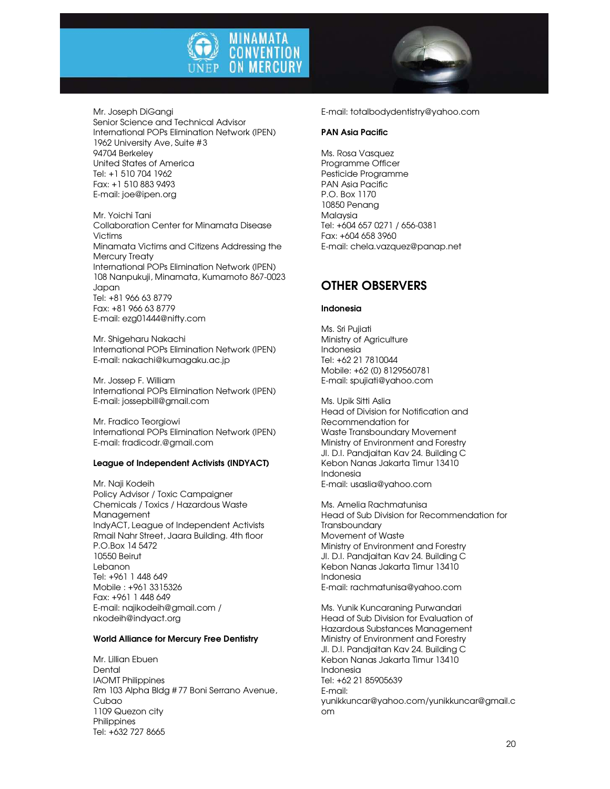

Mr. Joseph DiGangi Senior Science and Technical Advisor International POPs Elimination Network (IPEN) 1962 University Ave, Suite #3 94704 Berkeley United States of America Tel: +1 510 704 1962 Fax: +1 510 883 9493 E-mail: joe@ipen.org

Mr. Yoichi Tani Collaboration Center for Minamata Disease Victims Minamata Victims and Citizens Addressing the Mercury Treaty International POPs Elimination Network (IPEN) 108 Nanpukuji, Minamata, Kumamoto 867-0023 Japan Tel: +81 966 63 8779 Fax: +81 966 63 8779 E-mail: ezg01444@nifty.com

Mr. Shigeharu Nakachi International POPs Elimination Network (IPEN) E-mail: nakachi@kumagaku.ac.jp

Mr. Jossep F. William International POPs Elimination Network (IPEN) E-mail: jossepbill@gmail.com

Mr. Fradico Teorgiowi International POPs Elimination Network (IPEN) E-mail: fradicodr.@gmail.com

# League of Independent Activists (INDYACT)

Mr. Naji Kodeih Policy Advisor / Toxic Campaigner Chemicals / Toxics / Hazardous Waste Management IndyACT, League of Independent Activists Rmail Nahr Street, Jaara Building. 4th floor P.O.Box 14 5472 10550 Beirut Lebanon Tel: +961 1 448 649 Mobile : +961 3315326 Fax: +961 1 448 649 E-mail: najikodeih@gmail.com / nkodeih@indyact.org

#### World Alliance for Mercury Free Dentistry

Mr. Lillian Ebuen **Dental** IAOMT Philippines Rm 103 Alpha Bldg # 77 Boni Serrano Avenue, Cubao 1109 Quezon city **Philippines** Tel: +632 727 8665

E-mail: totalbodydentistry@yahoo.com

# PAN Asia Pacific

Ms. Rosa Vasquez Programme Officer Pesticide Programme PAN Asia Pacific P.O. Box 1170 10850 Penang Malaysia Tel: +604 657 0271 / 656-0381 Fax: +604 658 3960 E-mail: chela.vazquez@panap.net

# OTHER OBSERVERS

#### Indonesia

Ms. Sri Pujiati Ministry of Agriculture Indonesia Tel: +62 21 7810044 Mobile: +62 (0) 8129560781 E-mail: spujiati@yahoo.com

Ms. Upik Sitti Aslia Head of Division for Notification and Recommendation for Waste Transboundary Movement Ministry of Environment and Forestry Jl. D.I. Pandjaitan Kav 24. Building C Kebon Nanas Jakarta Timur 13410 Indonesia E-mail: usaslia@yahoo.com

Ms. Amelia Rachmatunisa Head of Sub Division for Recommendation for **Transboundary** Movement of Waste Ministry of Environment and Forestry Jl. D.I. Pandjaitan Kav 24. Building C Kebon Nanas Jakarta Timur 13410 Indonesia E-mail: rachmatunisa@yahoo.com

Ms. Yunik Kuncaraning Purwandari Head of Sub Division for Evaluation of Hazardous Substances Management Ministry of Environment and Forestry Jl. D.I. Pandjaitan Kav 24. Building C Kebon Nanas Jakarta Timur 13410 Indonesia Tel: +62 21 85905639 E-mail: yunikkuncar@yahoo.com/yunikkuncar@gmail.c om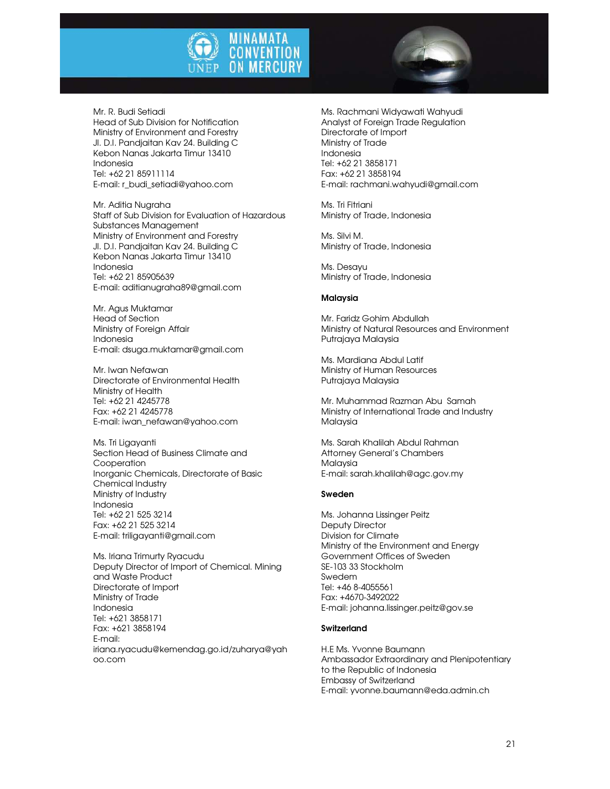



Mr. R. Budi Setiadi Head of Sub Division for Notification Ministry of Environment and Forestry Jl. D.I. Pandjaitan Kav 24. Building C Kebon Nanas Jakarta Timur 13410 Indonesia Tel: +62 21 85911114 E-mail: r\_budi\_setiadi@yahoo.com

Mr. Aditia Nugraha Staff of Sub Division for Evaluation of Hazardous Substances Management Ministry of Environment and Forestry Jl. D.I. Pandjaitan Kav 24. Building C Kebon Nanas Jakarta Timur 13410 Indonesia Tel: +62 21 85905639 E-mail: aditianugraha89@gmail.com

Mr. Agus Muktamar Head of Section Ministry of Foreign Affair Indonesia E-mail: dsuga.muktamar@gmail.com

Mr. Iwan Nefawan Directorate of Environmental Health Ministry of Health Tel: +62 21 4245778 Fax: +62 21 4245778 E-mail: iwan\_nefawan@yahoo.com

Ms. Tri Ligayanti Section Head of Business Climate and Cooperation Inorganic Chemicals, Directorate of Basic Chemical Industry Ministry of Industry Indonesia Tel: +62 21 525 3214 Fax: +62 21 525 3214 E-mail: triligayanti@gmail.com

Ms. Iriana Trimurty Ryacudu Deputy Director of Import of Chemical. Mining and Waste Product Directorate of Import Ministry of Trade Indonesia Tel: +621 3858171 Fax: +621 3858194 E-mail: iriana.ryacudu@kemendag.go.id/zuharya@yah oo.com

Ms. Rachmani Widyawati Wahyudi Analyst of Foreign Trade Regulation Directorate of Import Ministry of Trade Indonesia Tel: +62 21 3858171 Fax: +62 21 3858194 E-mail: rachmani.wahyudi@gmail.com

Ms. Tri Fitriani Ministry of Trade, Indonesia

Ms. Silvi M. Ministry of Trade, Indonesia

Ms. Desayu Ministry of Trade, Indonesia

### Malaysia

Mr. Faridz Gohim Abdullah Ministry of Natural Resources and Environment Putrajaya Malaysia

Ms. Mardiana Abdul Latif Ministry of Human Resources Putrajaya Malaysia

Mr. Muhammad Razman Abu Samah Ministry of International Trade and Industry Malaysia

Ms. Sarah Khalilah Abdul Rahman Attorney General's Chambers Malaysia E-mail: sarah.khalilah@agc.gov.my

# Sweden

Ms. Johanna Lissinger Peitz Deputy Director Division for Climate Ministry of the Environment and Energy Government Offices of Sweden SE-103 33 Stockholm Swedem Tel: +46 8-4055561 Fax: +4670-3492022 E-mail: johanna.lissinger.peitz@gov.se

# **Switzerland**

H.E Ms. Yvonne Baumann Ambassador Extraordinary and Plenipotentiary to the Republic of Indonesia Embassy of Switzerland E-mail: yvonne.baumann@eda.admin.ch